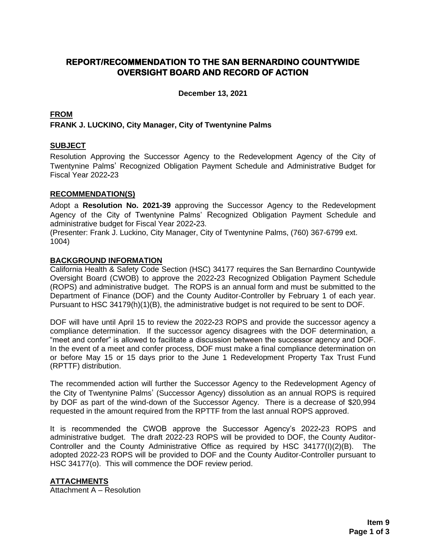# **REPORT/RECOMMENDATION TO THE SAN BERNARDINO COUNTYWIDE OVERSIGHT BOARD AND RECORD OF ACTION**

**December 13, 2021**

## **FROM FRANK J. LUCKINO, City Manager, City of Twentynine Palms**

## **SUBJECT**

Resolution Approving the Successor Agency to the Redevelopment Agency of the City of Twentynine Palms' Recognized Obligation Payment Schedule and Administrative Budget for Fiscal Year 2022**-**23

## **RECOMMENDATION(S)**

Adopt a **Resolution No. 2021-39** approving the Successor Agency to the Redevelopment Agency of the City of Twentynine Palms' Recognized Obligation Payment Schedule and administrative budget for Fiscal Year 2022**-**23.

(Presenter: Frank J. Luckino, City Manager, City of Twentynine Palms, (760) 367-6799 ext. 1004)

#### **BACKGROUND INFORMATION**

California Health & Safety Code Section (HSC) 34177 requires the San Bernardino Countywide Oversight Board (CWOB) to approve the 2022**-**23 Recognized Obligation Payment Schedule (ROPS) and administrative budget. The ROPS is an annual form and must be submitted to the Department of Finance (DOF) and the County Auditor-Controller by February 1 of each year. Pursuant to HSC 34179(h)(1)(B), the administrative budget is not required to be sent to DOF.

DOF will have until April 15 to review the 2022**-**23 ROPS and provide the successor agency a compliance determination. If the successor agency disagrees with the DOF determination, a "meet and confer" is allowed to facilitate a discussion between the successor agency and DOF. In the event of a meet and confer process, DOF must make a final compliance determination on or before May 15 or 15 days prior to the June 1 Redevelopment Property Tax Trust Fund (RPTTF) distribution.

The recommended action will further the Successor Agency to the Redevelopment Agency of the City of Twentynine Palms' (Successor Agency) dissolution as an annual ROPS is required by DOF as part of the wind-down of the Successor Agency. There is a decrease of \$20,994 requested in the amount required from the RPTTF from the last annual ROPS approved.

It is recommended the CWOB approve the Successor Agency's 2022**-**23 ROPS and administrative budget. The draft 2022-23 ROPS will be provided to DOF, the County Auditor-Controller and the County Administrative Office as required by HSC 34177(I)(2)(B). The adopted 2022-23 ROPS will be provided to DOF and the County Auditor-Controller pursuant to HSC 34177(o). This will commence the DOF review period.

## **ATTACHMENTS**

Attachment A – Resolution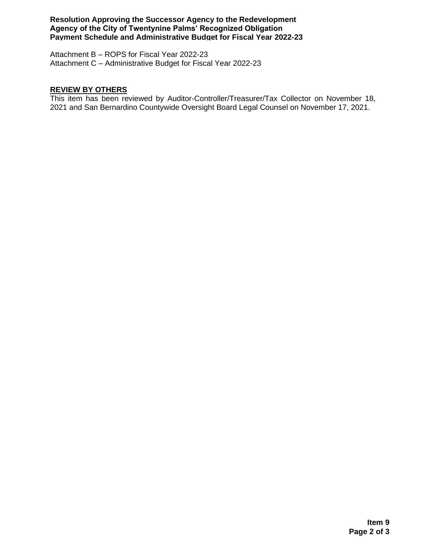**Resolution Approving the Successor Agency to the Redevelopment Agency of the City of Twentynine Palms' Recognized Obligation Payment Schedule and Administrative Budget for Fiscal Year 2022-23**

Attachment B – ROPS for Fiscal Year 2022-23 Attachment C – Administrative Budget for Fiscal Year 2022-23

#### **REVIEW BY OTHERS**

This item has been reviewed by Auditor-Controller/Treasurer/Tax Collector on November 18, 2021 and San Bernardino Countywide Oversight Board Legal Counsel on November 17, 2021.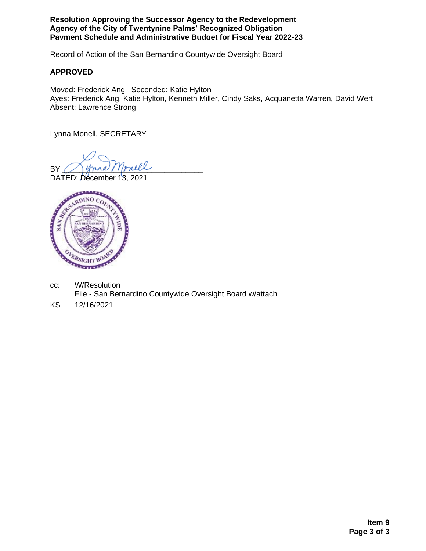**Resolution Approving the Successor Agency to the Redevelopment Agency of the City of Twentynine Palms' Recognized Obligation Payment Schedule and Administrative Budget for Fiscal Year 2022-23**

Record of Action of the San Bernardino Countywide Oversight Board

## **APPROVED**

Moved: Frederick Ang Seconded: Katie Hylton Ayes: Frederick Ang, Katie Hylton, Kenneth Miller, Cindy Saks, Acquanetta Warren, David Wert Absent: Lawrence Strong

Lynna Monell, SECRETARY

BY Mona Monell

DATED: December 13, 2021



- cc: W/Resolution File - San Bernardino Countywide Oversight Board w/attach
- KS 12/16/2021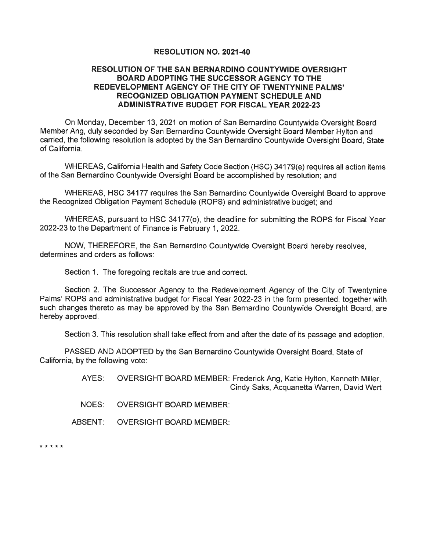#### **RESOLUTION NO. 2021-40**

#### **RESOLUTION OF THE SAN BERNARDINO COUNTYWIDE OVERSIGHT BOARD ADOPTING THE SUCCESSOR AGENCY TO THE** REDEVELOPMENT AGENCY OF THE CITY OF TWENTYNINE PALMS' **RECOGNIZED OBLIGATION PAYMENT SCHEDULE AND ADMINISTRATIVE BUDGET FOR FISCAL YEAR 2022-23**

On Monday, December 13, 2021 on motion of San Bernardino Countywide Oversight Board Member Ang, duly seconded by San Bernardino Countywide Oversight Board Member Hylton and carried, the following resolution is adopted by the San Bernardino Countywide Oversight Board. State of California.

WHEREAS, California Health and Safety Code Section (HSC) 34179(e) requires all action items of the San Bernardino Countywide Oversight Board be accomplished by resolution; and

WHEREAS, HSC 34177 requires the San Bernardino Countywide Oversight Board to approve the Recognized Obligation Payment Schedule (ROPS) and administrative budget; and

WHEREAS, pursuant to HSC 34177(o), the deadline for submitting the ROPS for Fiscal Year 2022-23 to the Department of Finance is February 1, 2022.

NOW, THEREFORE, the San Bernardino Countywide Oversight Board hereby resolves. determines and orders as follows:

Section 1. The foregoing recitals are true and correct.

Section 2. The Successor Agency to the Redevelopment Agency of the City of Twentynine Palms' ROPS and administrative budget for Fiscal Year 2022-23 in the form presented, together with such changes thereto as may be approved by the San Bernardino Countywide Oversight Board, are hereby approved.

Section 3. This resolution shall take effect from and after the date of its passage and adoption.

PASSED AND ADOPTED by the San Bernardino Countywide Oversight Board, State of California, by the following vote:

> OVERSIGHT BOARD MEMBER: Frederick Ang, Katie Hylton, Kenneth Miller, AYES: Cindy Saks, Acquanetta Warren, David Wert

NOES: **OVERSIGHT BOARD MEMBER:** 

ABSENT: **OVERSIGHT BOARD MEMBER:** 

\* \* \* \* \*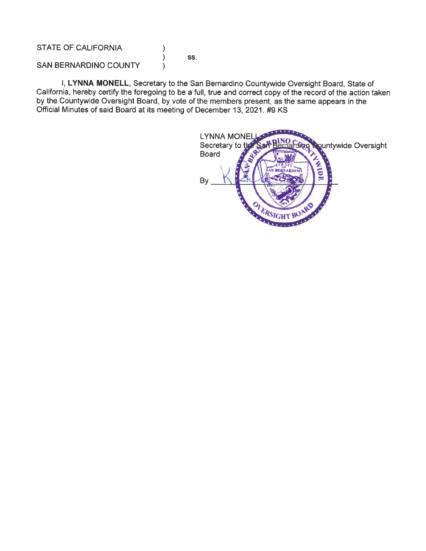**STATE OF CALIFORNIA** 

SS.

)  $\lambda$ 

 $\lambda$ 

SAN BERNARDINO COUNTY

I, LYNNA MONELL, Secretary to the San Bernardino Countywide Oversight Board, State of California, hereby certify the foregoing to be a full, true and correct copy of the record of the action taken by the Countywide Oversight Board, by vote of the members present, as the same appears in the Official Minutes of said Board at its meeting of December 13, 2021. #9 KS

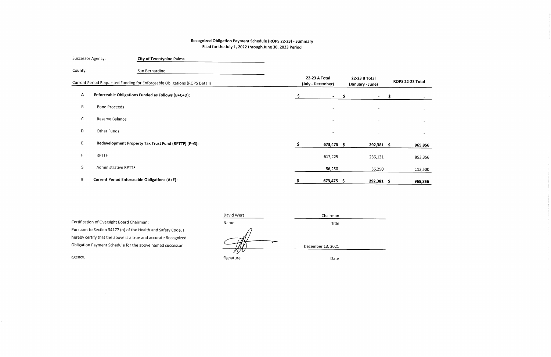## Recognized Obligation Payment Schedule (ROPS 22-23) - Summary Filed for the July 1, 2022 through June 30, 2023 Period

| Successor Agency: |                      | <b>City of Twentynine Palms</b>                                            |    |                                    |                                   |     |                  |
|-------------------|----------------------|----------------------------------------------------------------------------|----|------------------------------------|-----------------------------------|-----|------------------|
| County:           |                      | San Bernardino                                                             |    |                                    |                                   |     |                  |
|                   |                      | Current Period Requested Funding for Enforceable Obligations (ROPS Detail) |    | 22-23 A Total<br>(July - December) | 22-23 B Total<br>(January - June) |     | ROPS 22-23 Total |
| A                 |                      | Enforceable Obligations Funded as Follows (B+C+D):                         | S. | $-5$                               | $\sim$                            | -S. |                  |
| B                 | <b>Bond Proceeds</b> |                                                                            |    | $\sim$                             | $\sim$                            |     | $\sim$           |
| С                 | Reserve Balance      |                                                                            |    | $\sim$                             | $\blacksquare$                    |     | $\sim$           |
| D                 | Other Funds          |                                                                            |    | $\overline{\phantom{a}}$           | $\overline{\phantom{a}}$          |     | $\rightarrow$    |
| Е                 |                      | Redevelopment Property Tax Trust Fund (RPTTF) (F+G):                       | S. | 673,475 \$                         | 292,381 \$                        |     | 965,856          |
| F.                | <b>RPTTF</b>         |                                                                            |    | 617,225                            | 236,131                           |     | 853,356          |
| G                 | Administrative RPTTF |                                                                            |    | 56,250                             | 56,250                            |     | 112,500          |
| н                 |                      | <b>Current Period Enforceable Obligations (A+E):</b>                       |    | 673,475 \$                         | 292,381 \$                        |     | 965,856          |

Certification of Oversight Board Chairman: Pursuant to Section 34177 (o) of the Health and Safety Code, I hereby certify that the above is a true and accurate Recognized Obligation Payment Schedule for the above named successor

David Wert Name

Signature

December 13, 2021

Chairman

Title

Date

agency.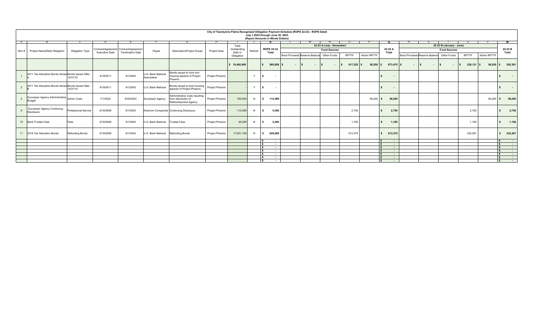|   |                                                       |                        |                       |                                       |                                    |                                                                               |                 | City of Twentynine Palms Recognized Obligation Payment Schedule (ROPS 22-23) - ROPS Detail |         | July 1,2022 through June 30, 2023<br>(Report Amounts in Whole Dollars) |                          |                                      |                           |         |              |                                        |                          |                               |                     |              |             |                       |
|---|-------------------------------------------------------|------------------------|-----------------------|---------------------------------------|------------------------------------|-------------------------------------------------------------------------------|-----------------|--------------------------------------------------------------------------------------------|---------|------------------------------------------------------------------------|--------------------------|--------------------------------------|---------------------------|---------|--------------|----------------------------------------|--------------------------|-------------------------------|---------------------|--------------|-------------|-----------------------|
| A |                                                       |                        |                       |                                       |                                    |                                                                               |                 |                                                                                            |         |                                                                        |                          |                                      |                           |         |              |                                        |                          |                               |                     |              |             |                       |
|   |                                                       |                        |                       |                                       |                                    |                                                                               |                 | Total                                                                                      |         |                                                                        |                          |                                      | 22-23 A (July - December) |         |              |                                        | 22-23 B (January - June) |                               |                     |              |             |                       |
|   | Item # Project Name/Debt Obligation                   | Obligation Type        |                       | Contract/Agreement Contract/Agreement | Payee                              | <b>Description/Project Scope</b>                                              | Project Area    | Outstanding                                                                                | Retired | <b>ROPS 22-23</b>                                                      |                          |                                      | <b>Fund Sources</b>       |         |              | 22-23 A                                |                          |                               | <b>Fund Sources</b> |              |             | 22-23 B               |
|   |                                                       |                        | <b>Execution Date</b> | <b>Termination Date</b>               |                                    |                                                                               |                 |                                                                                            | Debt or | Total                                                                  |                          |                                      |                           |         | <b>Total</b> |                                        |                          |                               |                     | Total        |             |                       |
|   |                                                       |                        |                       |                                       |                                    |                                                                               |                 | Obligation                                                                                 |         |                                                                        |                          | <b>Bond Proceeds Reserve Balance</b> | Other Funds               | RPTTF   | Admin RPTTF  |                                        |                          | Bond Proceeds Reserve Balance | Other Funds         | RPTTF        | Admin RPTTF |                       |
|   |                                                       |                        |                       |                                       |                                    |                                                                               |                 | \$18,482,800                                                                               |         |                                                                        | 965,856 \$               | $\sim$                               |                           | 617,225 | 56,250       | 673,475 \$                             |                          |                               | $\sim$              | $236,131$ \$ | 56,250      | 292,381               |
|   | 2011 Tax Allocation Bonds Series Bonds Issued After   | 12/31/10               | 4/19/2011             | 9/1/2042                              | U.S. Bank National<br>Association  | Bonds issued to fund non-<br>housing aspects of Project<br>Phoenix.           | Project Phoenix |                                                                                            | Y       |                                                                        |                          |                                      |                           |         |              | $\sim$                                 |                          |                               |                     |              |             | $\sim$                |
|   | 2011 Tax Allocation Bonds Series Bonds Issued After   | 12/31/10               | 4/19/2011             | 9/1/2042                              | U.S. Bank National                 | Bonds issued to fund housing<br>aspects of Project Phoenix.                   | Project Phoenix |                                                                                            | $\vee$  |                                                                        | $\overline{\phantom{a}}$ |                                      |                           |         |              | $\sim$                                 |                          |                               |                     |              |             | $\sim$                |
|   | Successor Agency Administrative Admin Costs<br>Budget |                        | 7/1/2022              | 6/30/2023                             | <b>Successor Agency</b>            | Administrative costs resulting<br>from dissolution of<br>Redevelopment Agency | Project Phoenix | 700,000                                                                                    | N       | IS.                                                                    | 112,500                  |                                      |                           |         | 56,250       | 56,250                                 |                          |                               |                     |              | 56,250      | 56,250<br>l S         |
| 9 | Successor Agency Continuing<br>Disclosure             | Professional Service   | 5/16/2008             | 9/1/2042                              |                                    | Kosmont Companies Continuing Disclosure                                       | Project Phoenix | 115,500                                                                                    | N       |                                                                        | 5,500                    |                                      |                           | 2,750   |              | 2,750                                  |                          |                               |                     | 2,750        |             | 2,750<br>$\mathbf{s}$ |
|   | 10 Bank Trustee Fees                                  | Fees                   | 5/16/2008             | 9/1/2042                              | U.S. Bank National                 | <b>Trustee Fees</b>                                                           | Project Phoenix | 46,200                                                                                     | N       |                                                                        | 2,200                    |                                      |                           | 1,100   |              | 1,100                                  |                          |                               |                     | 1,100        |             | 1,100<br>$\mathbf{s}$ |
|   | 11 2018 Tax Allocation Bonds                          | <b>Refunding Bonds</b> | 5/16/2008             | 9/1/2042                              | U.S. Bank National Refunding Bonds |                                                                               | Project Phoenix | 17,621,100                                                                                 | N       |                                                                        | 845,656                  |                                      |                           | 613,375 |              | 613,375<br>s.                          |                          |                               |                     | 232,281      |             | 232,281               |
|   |                                                       |                        |                       |                                       |                                    |                                                                               |                 |                                                                                            |         |                                                                        | $\sim$                   |                                      |                           |         |              | $\ddot{\phantom{0}}$<br>$\sim 10^{-1}$ |                          |                               |                     |              |             | $\sim$<br>$\sim$      |
|   |                                                       |                        |                       |                                       |                                    |                                                                               |                 |                                                                                            |         |                                                                        | $\sim$                   |                                      |                           |         |              | $\sim$                                 |                          |                               |                     |              |             | <b>Section</b>        |
|   |                                                       |                        |                       |                                       |                                    |                                                                               |                 |                                                                                            |         |                                                                        | $\sim$                   |                                      |                           |         |              | $\sim$                                 |                          |                               |                     |              |             | $\sim$                |
|   |                                                       |                        |                       |                                       |                                    |                                                                               |                 |                                                                                            |         |                                                                        | $\sim$                   |                                      |                           |         |              | $\sim 100$                             |                          |                               |                     |              |             | $\sim$ $ \sim$        |
|   |                                                       |                        |                       |                                       |                                    |                                                                               |                 |                                                                                            |         |                                                                        | $\sim$                   |                                      |                           |         |              | $\sim$                                 |                          |                               |                     |              |             | $\sim$                |
|   |                                                       |                        |                       |                                       |                                    |                                                                               |                 |                                                                                            |         |                                                                        | $\sim$                   |                                      |                           |         |              | $\sim$                                 |                          |                               |                     |              |             | <b>State State</b>    |
|   |                                                       |                        |                       |                                       |                                    |                                                                               |                 |                                                                                            |         |                                                                        | $\sim$                   |                                      |                           |         |              | $\sim$                                 |                          |                               |                     |              |             | <b>Contract</b>       |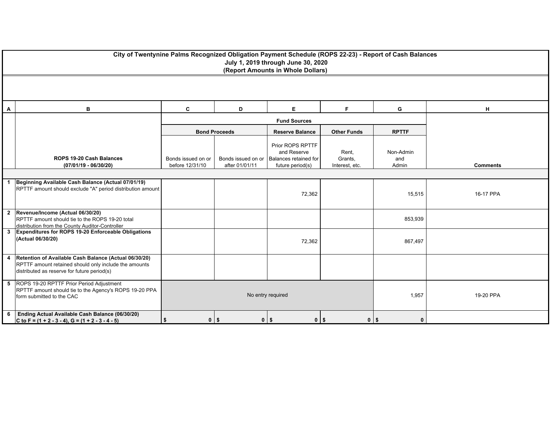|              | City of Twentynine Palms Recognized Obligation Payment Schedule (ROPS 22-23) - Report of Cash Balances<br>July 1, 2019 through June 30, 2020<br>(Report Amounts in Whole Dollars) |                                       |                                      |                                                                              |                                    |                           |                 |  |  |  |  |
|--------------|-----------------------------------------------------------------------------------------------------------------------------------------------------------------------------------|---------------------------------------|--------------------------------------|------------------------------------------------------------------------------|------------------------------------|---------------------------|-----------------|--|--|--|--|
|              |                                                                                                                                                                                   |                                       |                                      |                                                                              |                                    |                           |                 |  |  |  |  |
| A            | в                                                                                                                                                                                 | н                                     |                                      |                                                                              |                                    |                           |                 |  |  |  |  |
|              |                                                                                                                                                                                   | <b>Fund Sources</b>                   |                                      |                                                                              |                                    |                           |                 |  |  |  |  |
|              |                                                                                                                                                                                   |                                       | <b>Bond Proceeds</b>                 | <b>Reserve Balance</b>                                                       | <b>Other Funds</b>                 | <b>RPTTF</b>              |                 |  |  |  |  |
|              | <b>ROPS 19-20 Cash Balances</b><br>$(07/01/19 - 06/30/20)$                                                                                                                        | Bonds issued on or<br>before 12/31/10 | Bonds issued on or<br>after 01/01/11 | Prior ROPS RPTTF<br>and Reserve<br>Balances retained for<br>future period(s) | Rent,<br>Grants,<br>Interest, etc. | Non-Admin<br>and<br>Admin | <b>Comments</b> |  |  |  |  |
|              |                                                                                                                                                                                   |                                       |                                      |                                                                              |                                    |                           |                 |  |  |  |  |
| $\mathbf{1}$ | Beginning Available Cash Balance (Actual 07/01/19)<br>RPTTF amount should exclude "A" period distribution amount                                                                  |                                       |                                      | 72,362                                                                       |                                    | 15,515                    | 16-17 PPA       |  |  |  |  |
|              | 2 Revenue/Income (Actual 06/30/20)<br>RPTTF amount should tie to the ROPS 19-20 total<br>distribution from the County Auditor-Controller                                          |                                       |                                      |                                                                              |                                    | 853,939                   |                 |  |  |  |  |
|              | 3 Expenditures for ROPS 19-20 Enforceable Obligations<br>(Actual 06/30/20)                                                                                                        |                                       |                                      | 72,362                                                                       |                                    | 867,497                   |                 |  |  |  |  |
| 4            | Retention of Available Cash Balance (Actual 06/30/20)<br>RPTTF amount retained should only include the amounts<br>distributed as reserve for future period(s)                     |                                       |                                      |                                                                              |                                    |                           |                 |  |  |  |  |
|              | 5 ROPS 19-20 RPTTF Prior Period Adjustment<br>RPTTF amount should tie to the Agency's ROPS 19-20 PPA<br>form submitted to the CAC                                                 |                                       |                                      | No entry required                                                            |                                    | 1,957                     | 19-20 PPA       |  |  |  |  |
| 6            | Ending Actual Available Cash Balance (06/30/20)<br>C to F = $(1 + 2 - 3 - 4)$ , G = $(1 + 2 - 3 - 4 - 5)$                                                                         | $0$ \$<br>S                           | $0$   \$                             | $0 \mid$ \$                                                                  | $0$   \$                           | $\mathbf{0}$              |                 |  |  |  |  |